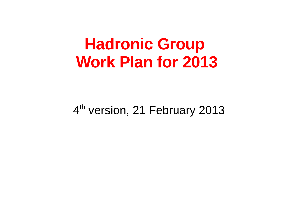## **Hadronic Group Work Plan for 2013**

#### 4<sup>th</sup> version, 21 February 2013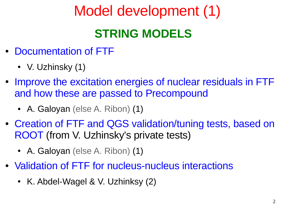## Model development (1)

### **STRING MODELS**

- Documentation of FTF
	- V. Uzhinsky  $(1)$
- Improve the excitation energies of nuclear residuals in FTF and how these are passed to Precompound
	- A. Galoyan (else A. Ribon)  $(1)$
- Creation of FTF and QGS validation/tuning tests, based on ROOT (from V. Uzhinsky's private tests)
	- A. Galoyan (else A. Ribon) (1)
- Validation of FTF for nucleus-nucleus interactions
	- K. Abdel-Wagel & V. Uzhinksy  $(2)$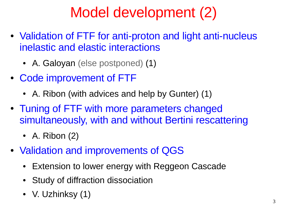## Model development (2)

- Validation of FTF for anti-proton and light anti-nucleus inelastic and elastic interactions
	- A. Galoyan (else postponed) (1)
- Code improvement of FTF
	- A. Ribon (with advices and help by Gunter)  $(1)$
- Tuning of FTF with more parameters changed simultaneously, with and without Bertini rescattering
	- A. Ribon  $(2)$
- Validation and improvements of QGS
	- **Extension to lower energy with Reggeon Cascade**
	- Study of diffraction dissociation
	- V. Uzhinksy (1)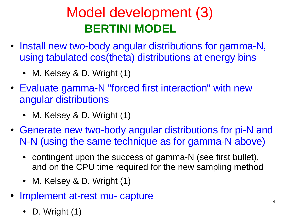## Model development (3)  **BERTINI MODEL**

- Install new two-body angular distributions for gamma-N, using tabulated cos(theta) distributions at energy bins
	- M. Kelsey & D. Wright  $(1)$
- Evaluate gamma-N "forced first interaction" with new angular distributions
	- M. Kelsey & D. Wright  $(1)$
- Generate new two-body angular distributions for pi-N and N-N (using the same technique as for gamma-N above)
	- contingent upon the success of gamma-N (see first bullet), and on the CPU time required for the new sampling method
	- M. Kelsey & D. Wright  $(1)$
- Implement at-rest mu- capture
	- D. Wright  $(1)$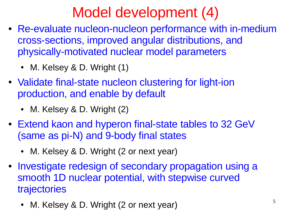## Model development (4)

- Re-evaluate nucleon-nucleon performance with in-medium cross-sections, improved angular distributions, and physically-motivated nuclear model parameters
	- M. Kelsey & D. Wright  $(1)$
- Validate final-state nucleon clustering for light-ion production, and enable by default
	- M. Kelsey & D. Wright (2)
- Extend kaon and hyperon final-state tables to 32 GeV (same as pi-N) and 9-body final states
	- M. Kelsey & D. Wright (2 or next year)
- Investigate redesign of secondary propagation using a smooth 1D nuclear potential, with stepwise curved trajectories
	- M. Kelsey & D. Wright (2 or next year)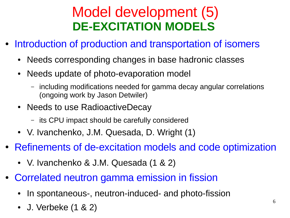### Model development (5) **DE-EXCITATION MODELS**

- Introduction of production and transportation of isomers
	- Needs corresponding changes in base hadronic classes
	- Needs update of photo-evaporation model
		- including modifications needed for gamma decay angular correlations (ongoing work by Jason Detwiler)
	- Needs to use RadioactiveDecay
		- its CPU impact should be carefully considered
	- V. Ivanchenko, J.M. Quesada, D. Wright (1)
- Refinements of de-excitation models and code optimization
	- V. Ivanchenko & J.M. Quesada  $(1 \& 2)$
- Correlated neutron gamma emission in fission
	- In spontaneous-, neutron-induced- and photo-fission
	- J. Verbeke (1 & 2)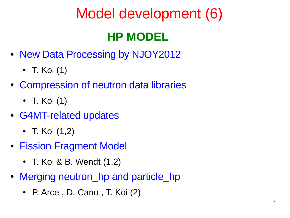## Model development (6)

### **HP MODEL**

- New Data Processing by NJOY2012
	- T. Koi $(1)$
- Compression of neutron data libraries
	- T. Koi $(1)$
- G4MT-related updates
	- T. Koi  $(1,2)$
- Fission Fragment Model
	- T. Koi & B. Wendt  $(1,2)$
- Merging neutron hp and particle hp
	- P. Arce, D. Cano, T. Koi  $(2)$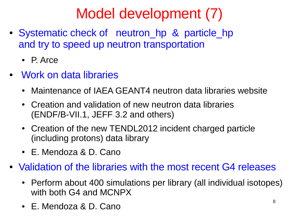## Model development (7)

- Systematic check of neutron hp & particle hp and try to speed up neutron transportation
	- P. Arce
- Work on data libraries
	- Maintenance of IAEA GEANT4 neutron data libraries website
	- Creation and validation of new neutron data libraries (ENDF/B-VII.1, JEFF 3.2 and others)
	- Creation of the new TENDL2012 incident charged particle (including protons) data library
	- E. Mendoza & D. Cano
- Validation of the libraries with the most recent G4 releases
	- Perform about 400 simulations per library (all individual isotopes) with both G4 and MCNPX
	- E. Mendoza & D. Cano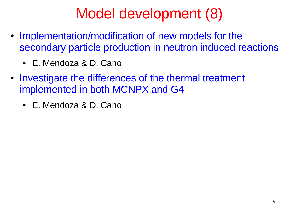## Model development (8)

- Implementation/modification of new models for the secondary particle production in neutron induced reactions
	- E. Mendoza & D. Cano
- Investigate the differences of the thermal treatment implemented in both MCNPX and G4
	- E. Mendoza & D. Cano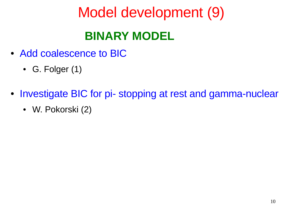# Model development (9)  **BINARY MODEL**

- Add coalescence to BIC
	- G. Folger  $(1)$
- Investigate BIC for pi- stopping at rest and gamma-nuclear
	- W. Pokorski (2)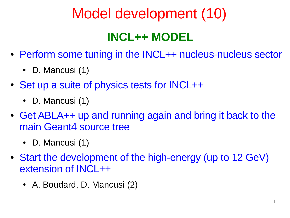# Model development (10)

### **INCL++ MODEL**

- Perform some tuning in the INCL++ nucleus-nucleus sector
	- D. Mancusi  $(1)$
- Set up a suite of physics tests for INCL++
	- D. Mancusi  $(1)$
- Get ABLA++ up and running again and bring it back to the main Geant4 source tree
	- D. Mancusi  $(1)$
- Start the development of the high-energy (up to 12 GeV) extension of INCL++
	- A. Boudard, D. Mancusi (2)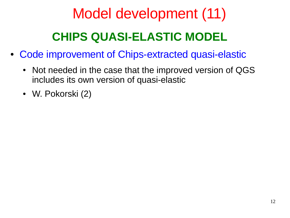# Model development (11)  **CHIPS QUASI-ELASTIC MODEL**

- Code improvement of Chips-extracted quasi-elastic
	- Not needed in the case that the improved version of QGS includes its own version of quasi-elastic
	- W. Pokorski (2)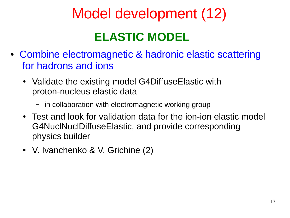## Model development (12)

#### **ELASTIC MODEL**

- Combine electromagnetic & hadronic elastic scattering for hadrons and ions
	- Validate the existing model G4DiffuseElastic with proton-nucleus elastic data
		- in collaboration with electromagnetic working group
	- Test and look for validation data for the ion-ion elastic model G4NuclNuclDiffuseElastic, and provide corresponding physics builder
	- V. Ivanchenko & V. Grichine (2)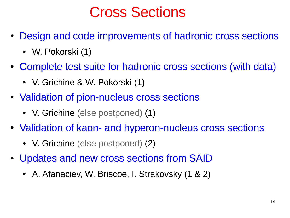### Cross Sections

- Design and code improvements of hadronic cross sections
	- W. Pokorski (1)
- Complete test suite for hadronic cross sections (with data)
	- V. Grichine & W. Pokorski (1)
- Validation of pion-nucleus cross sections
	- V. Grichine (else postponed) (1)
- Validation of kaon- and hyperon-nucleus cross sections
	- V. Grichine (else postponed) (2)
- Updates and new cross sections from SAID
	- A. Afanaciev, W. Briscoe, I. Strakovsky (1 & 2)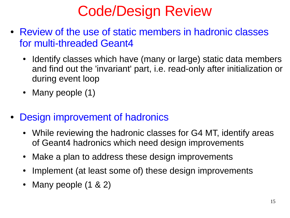## Code/Design Review

- Review of the use of static members in hadronic classes for multi-threaded Geant4
	- Identify classes which have (many or large) static data members and find out the 'invariant' part, i.e. read-only after initialization or during event loop
	- Many people  $(1)$
- Design improvement of hadronics
	- While reviewing the hadronic classes for G4 MT, identify areas of Geant4 hadronics which need design improvements
	- Make a plan to address these design improvements
	- Implement (at least some of) these design improvements
	- Many people (1 & 2)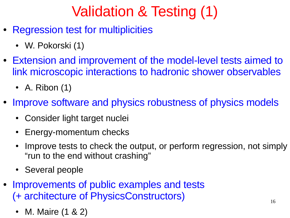# Validation & Testing (1)

- Regression test for multiplicities
	- W. Pokorski (1)
- Extension and improvement of the model-level tests aimed to link microscopic interactions to hadronic shower observables
	- A. Ribon  $(1)$
- Improve software and physics robustness of physics models
	- Consider light target nuclei
	- Energy-momentum checks
	- Improve tests to check the output, or perform regression, not simply "run to the end without crashing"
	- Several people
- Improvements of public examples and tests (+ architecture of PhysicsConstructors)
	- M. Maire (1 & 2)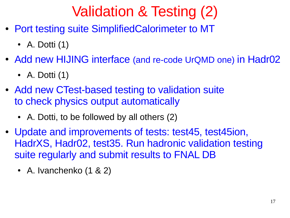## Validation & Testing (2)

- Port testing suite SimplifiedCalorimeter to MT
	- A. Dotti  $(1)$
- Add new HIJING interface (and re-code UrQMD one) in Hadr02
	- A. Dotti  $(1)$
- Add new CTest-based testing to validation suite to check physics output automatically
	- A. Dotti, to be followed by all others  $(2)$
- Update and improvements of tests: test45, test45ion, HadrXS, Hadr02, test35. Run hadronic validation testing suite regularly and submit results to FNAL DB
	- A. Ivanchenko  $(1 \& 2)$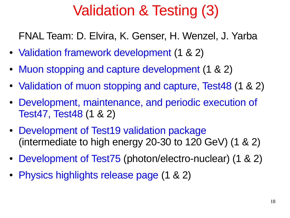## Validation & Testing (3)

FNAL Team: D. Elvira, K. Genser, H. Wenzel, J. Yarba

- Validation framework development (1 & 2)
- Muon stopping and capture development (1 & 2)
- Validation of muon stopping and capture, Test48 (1 & 2)
- Development, maintenance, and periodic execution of Test47, Test48 (1 & 2)
- Development of Test19 validation package (intermediate to high energy 20-30 to 120 GeV) (1 & 2)
- Development of Test75 (photon/electro-nuclear) (1 & 2)
- Physics highlights release page (1 & 2)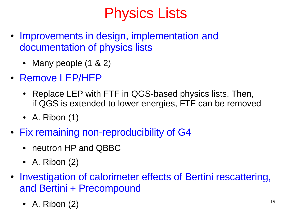## Physics Lists

- Improvements in design, implementation and documentation of physics lists
	- Many people  $(1 \& 2)$
- Remove LEP/HEP
	- Replace LEP with FTF in QGS-based physics lists. Then, if QGS is extended to lower energies, FTF can be removed
	- A. Ribon  $(1)$
- Fix remaining non-reproducibility of G4
	- neutron HP and QBBC
	- A. Ribon  $(2)$
- Investigation of calorimeter effects of Bertini rescattering, and Bertini + Precompound
	- A. Ribon  $(2)$